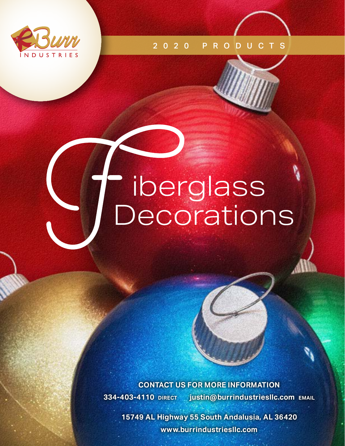

2020 PRODUCTS

# iberglass **Decorations**

**CONTACT US FOR MORE INFORMATION 334-403-4110 direct justin@burrindustriesllc.com email**

**15749 AL Highway 55 South Andalusia, AL 36420 www.burrindustriesllc.com**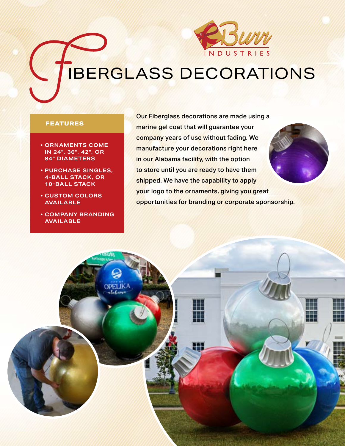

# IBERGLASS DECORATIONS

#### **FEATURES**

- **ORNAMENTS COME IN 24", 36", 42", OR 84" DIAMETERS**
- **PURCHASE SINGLES, 4-BALL STACK, OR 10-BALL STACK**
- **CUSTOM COLORS AVAILABLE**
- **COMPANY BRANDING AVAILABLE**

Our Fiberglass decorations are made using a marine gel coat that will guarantee your company years of use without fading. We manufacture your decorations right here in our Alabama facility, with the option to store until you are ready to have them shipped. We have the capability to apply your logo to the ornaments, giving you great opportunities for branding or corporate sponsorship.

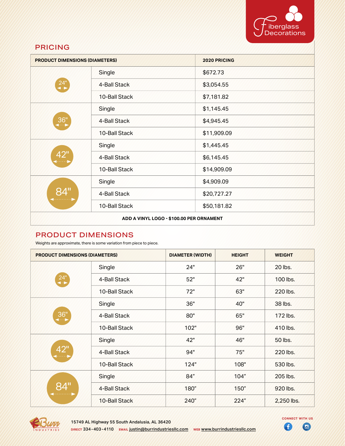

# PRICING

| <b>PRODUCT DIMENSIONS (DIAMETERS)</b>    |               | <b>2020 PRICING</b> |
|------------------------------------------|---------------|---------------------|
| $24^{\circ}$                             | Single        | \$672.73            |
|                                          | 4-Ball Stack  | \$3,054.55          |
|                                          | 10-Ball Stack | \$7,181.82          |
| 36"                                      | Single        | \$1,145.45          |
|                                          | 4-Ball Stack  | \$4,945.45          |
|                                          | 10-Ball Stack | \$11,909.09         |
| 42"<br>وتحددوا                           | Single        | \$1,445.45          |
|                                          | 4-Ball Stack  | \$6,145.45          |
|                                          | 10-Ball Stack | \$14,909.09         |
| 84"                                      | Single        | \$4,909.09          |
|                                          | 4-Ball Stack  | \$20,727.27         |
|                                          | 10-Ball Stack | \$50,181.82         |
| ADD A VINYL LOGO - \$100.00 PER ORNAMENT |               |                     |

# PRODUCT DIMENSIONS

Weights are approximate, there is some variation from piece to piece.

| <b>PRODUCT DIMENSIONS (DIAMETERS)</b> |               | <b>DIAMETER (WIDTH)</b> | <b>HEIGHT</b> | <b>WEIGHT</b> |
|---------------------------------------|---------------|-------------------------|---------------|---------------|
| $24^{\circ}$                          | Single        | 24"                     | 26"           | 20 lbs.       |
|                                       | 4-Ball Stack  | 52"                     | 42"           | 100 lbs.      |
|                                       | 10-Ball Stack | 72"                     | 63"           | 220 lbs.      |
| 36"<br>(⊶⊶                            | Single        | 36"                     | 40"           | 38 lbs.       |
|                                       | 4-Ball Stack  | 80"                     | 65"           | 172 lbs.      |
|                                       | 10-Ball Stack | 102"                    | 96"           | 410 lbs.      |
| 42"<br>وتبيتها                        | Single        | 42"                     | 46"           | 50 lbs.       |
|                                       | 4-Ball Stack  | 94"                     | 75"           | 220 lbs.      |
|                                       | 10-Ball Stack | 124"                    | 108"          | 530 lbs.      |
| 84"                                   | Single        | 84"                     | 104"          | 205 lbs.      |
|                                       | 4-Ball Stack  | 180"                    | 150"          | 920 lbs.      |
|                                       | 10-Ball Stack | 240"                    | 224"          | 2,250 lbs.    |



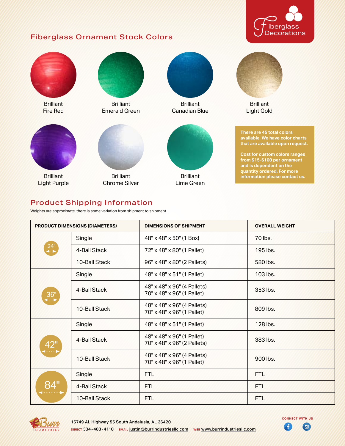# Fiberglass Ornament Stock Colors





# Product Shipping Information

Weights are approximate, there is some variation from shipment to shipment.

| <b>PRODUCT DIMENSIONS (DIAMETERS)</b> |               | <b>DIMENSIONS OF SHIPMENT</b>                             | <b>OVERALL WEIGHT</b> |
|---------------------------------------|---------------|-----------------------------------------------------------|-----------------------|
| $24^{\circ}$                          | Single        | 48" x 48" x 50" (1 Box)                                   | 70 lbs.               |
|                                       | 4-Ball Stack  | 72" x 48" x 80" (1 Pallet)                                | 195 lbs.              |
|                                       | 10-Ball Stack | 96" x 48" x 80" (2 Pallets)                               | 580 lbs.              |
|                                       | Single        | 48" x 48" x 51" (1 Pallet)                                | 103 lbs.              |
| 36"                                   | 4-Ball Stack  | 48" x 48" x 96" (4 Pallets)<br>70" x 48" x 96" (1 Pallet) | 353 lbs.              |
|                                       | 10-Ball Stack | 48" x 48" x 96" (4 Pallets)<br>70" x 48" x 96" (1 Pallet) | 809 lbs.              |
|                                       | Single        | 48" x 48" x 51" (1 Pallet)                                | 128 lbs.              |
| 42"                                   | 4-Ball Stack  | 48" x 48" x 96" (1 Pallet)<br>70" x 48" x 96" (2 Pallets) | 383 lbs.              |
|                                       | 10-Ball Stack | 48" x 48" x 96" (4 Pallets)<br>70" x 48" x 96" (1 Pallet) | 900 lbs.              |
|                                       | <b>Single</b> | <b>FTL</b>                                                | <b>FTL</b>            |
|                                       | 4-Ball Stack  | <b>FTL</b>                                                | <b>FTL</b>            |
|                                       | 10-Ball Stack | <b>FTL</b>                                                | <b>FTL</b>            |



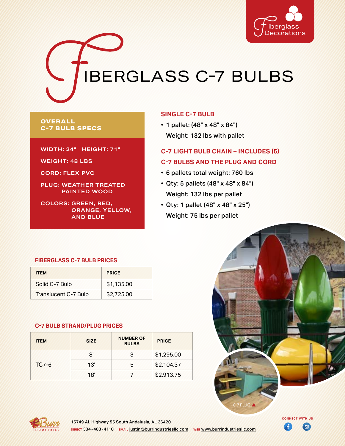

IBERGLASS C-7 BULBS

#### **OVERALL C-7 BULB SPECS**

**WIDTH: 24" HEIGHT: 71"**

**WEIGHT: 48 LBS**

**CORD: FLEX PVC**

**PLUG: WEATHER TREATED PAINTED WOOD**

**COLORS: GREEN, RED, ORANGE, YELLOW, AND BLUE**

#### **SINGLE C-7 BULB**

• 1 pallet: (48" x 48" x 84") Weight: 132 lbs with pallet

### **C-7 LIGHT BULB CHAIN – INCLUDES (5) C-7 BULBS AND THE PLUG AND CORD**

- 6 pallets total weight: 760 lbs
- Qty: 5 pallets (48" x 48" x 84") Weight: 132 lbs per pallet
- Qty: 1 pallet (48" x 48" x 25") Weight: 75 lbs per pallet



| <b>ITEM</b>          | <b>PRICE</b> |  |
|----------------------|--------------|--|
| Solid C-7 Bulb       | \$1,135.00   |  |
| Translucent C-7 Bulb | \$2,725,00   |  |

#### **C-7 BULB STRAND/PLUG PRICES**

| <b>ITEM</b>  | <b>SIZE</b> | <b>NUMBER OF</b><br><b>BULBS</b> | <b>PRICE</b> |
|--------------|-------------|----------------------------------|--------------|
|              | κ'          |                                  | \$1,295.00   |
| <b>TC7-6</b> | 13'         | ხ                                | \$2,104.37   |
|              | 18'         |                                  | \$2,913.75   |